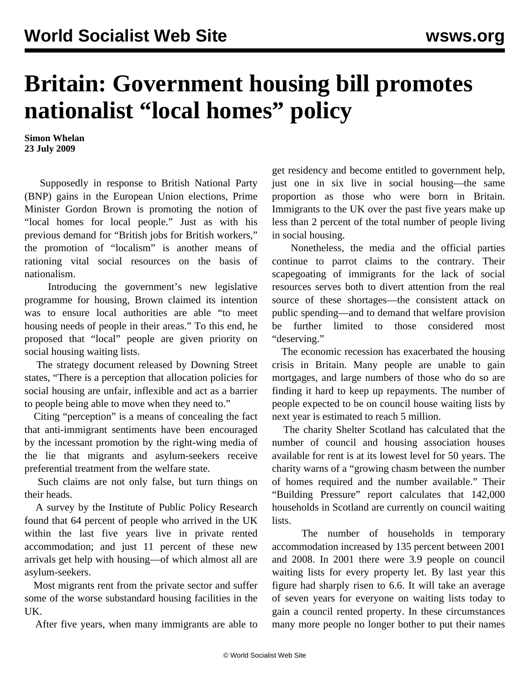## **Britain: Government housing bill promotes nationalist "local homes" policy**

**Simon Whelan 23 July 2009**

 Supposedly in response to British National Party (BNP) gains in the European Union elections, Prime Minister Gordon Brown is promoting the notion of "local homes for local people." Just as with his previous demand for "British jobs for British workers," the promotion of "localism" is another means of rationing vital social resources on the basis of nationalism.

 Introducing the government's new legislative programme for housing, Brown claimed its intention was to ensure local authorities are able "to meet housing needs of people in their areas." To this end, he proposed that "local" people are given priority on social housing waiting lists.

 The strategy document released by Downing Street states, "There is a perception that allocation policies for social housing are unfair, inflexible and act as a barrier to people being able to move when they need to."

 Citing "perception" is a means of concealing the fact that anti-immigrant sentiments have been encouraged by the incessant promotion by the right-wing media of the lie that migrants and asylum-seekers receive preferential treatment from the welfare state.

 Such claims are not only false, but turn things on their heads.

 A survey by the Institute of Public Policy Research found that 64 percent of people who arrived in the UK within the last five years live in private rented accommodation; and just 11 percent of these new arrivals get help with housing—of which almost all are asylum-seekers.

 Most migrants rent from the private sector and suffer some of the worse substandard housing facilities in the UK.

After five years, when many immigrants are able to

get residency and become entitled to government help, just one in six live in social housing—the same proportion as those who were born in Britain. Immigrants to the UK over the past five years make up less than 2 percent of the total number of people living in social housing.

 Nonetheless, the media and the official parties continue to parrot claims to the contrary. Their scapegoating of immigrants for the lack of social resources serves both to divert attention from the real source of these shortages—the consistent attack on public spending—and to demand that welfare provision be further limited to those considered most "deserving."

 The economic recession has exacerbated the housing crisis in Britain. Many people are unable to gain mortgages, and large numbers of those who do so are finding it hard to keep up repayments. The number of people expected to be on council house waiting lists by next year is estimated to reach 5 million.

 The charity Shelter Scotland has calculated that the number of council and housing association houses available for rent is at its lowest level for 50 years. The charity warns of a "growing chasm between the number of homes required and the number available." Their "Building Pressure" report calculates that 142,000 households in Scotland are currently on council waiting lists.

 The number of households in temporary accommodation increased by 135 percent between 2001 and 2008. In 2001 there were 3.9 people on council waiting lists for every property let. By last year this figure had sharply risen to 6.6. It will take an average of seven years for everyone on waiting lists today to gain a council rented property. In these circumstances many more people no longer bother to put their names